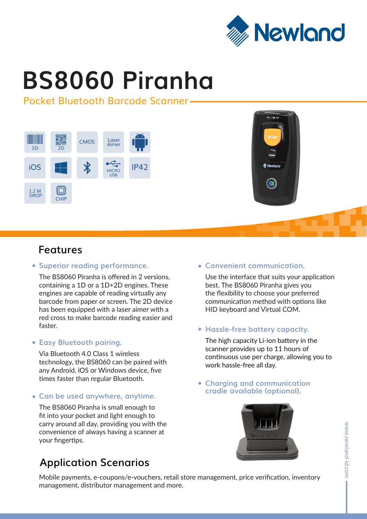

# **BS8060 Piranha**

## Pocket Bluetooth Barcode Scanner





## **Features**

#### **Superior reading performance.**

The BS8060 Piranha is offered in 2 versions, containing a 1D or a 1D+2D engines. These engines are capable of reading virtually any barcode from paper or screen. The 2D device has been equipped with a laser aimer with a red cross to make barcode reading easier and faster.

## **Easy Bluetooth pairing.**

Via Bluetooth 4.0 Class 1 wireless technology, the BS8060 can be paired with any Android, iOS or Windows device, five times faster than regular Bluetooth.

## **Can be used anywhere, anytime.**

The BS8060 Piranha is small enough to fit into your pocket and light enough to carry around all day, providing you with the convenience of always having a scanner at your fingertips.

## **Application Scenarios**

## **Convenient communication.**

Use the interface that suits your application best. The BS8060 Piranha gives you the flexibility to choose your preferred communication method with options like HID keyboard and Virtual COM.

## **Hassle-free battery capacity.**

The high capacity Li-ion battery in the scanner provides up to 11 hours of continuous use per charge, allowing you to work hassle-free all day.

#### **Charging and communication cradle available (optional).**



Mobile payments, e-coupons/e-vouchers, retail store management, price verification, inventory management, distributor management and more.